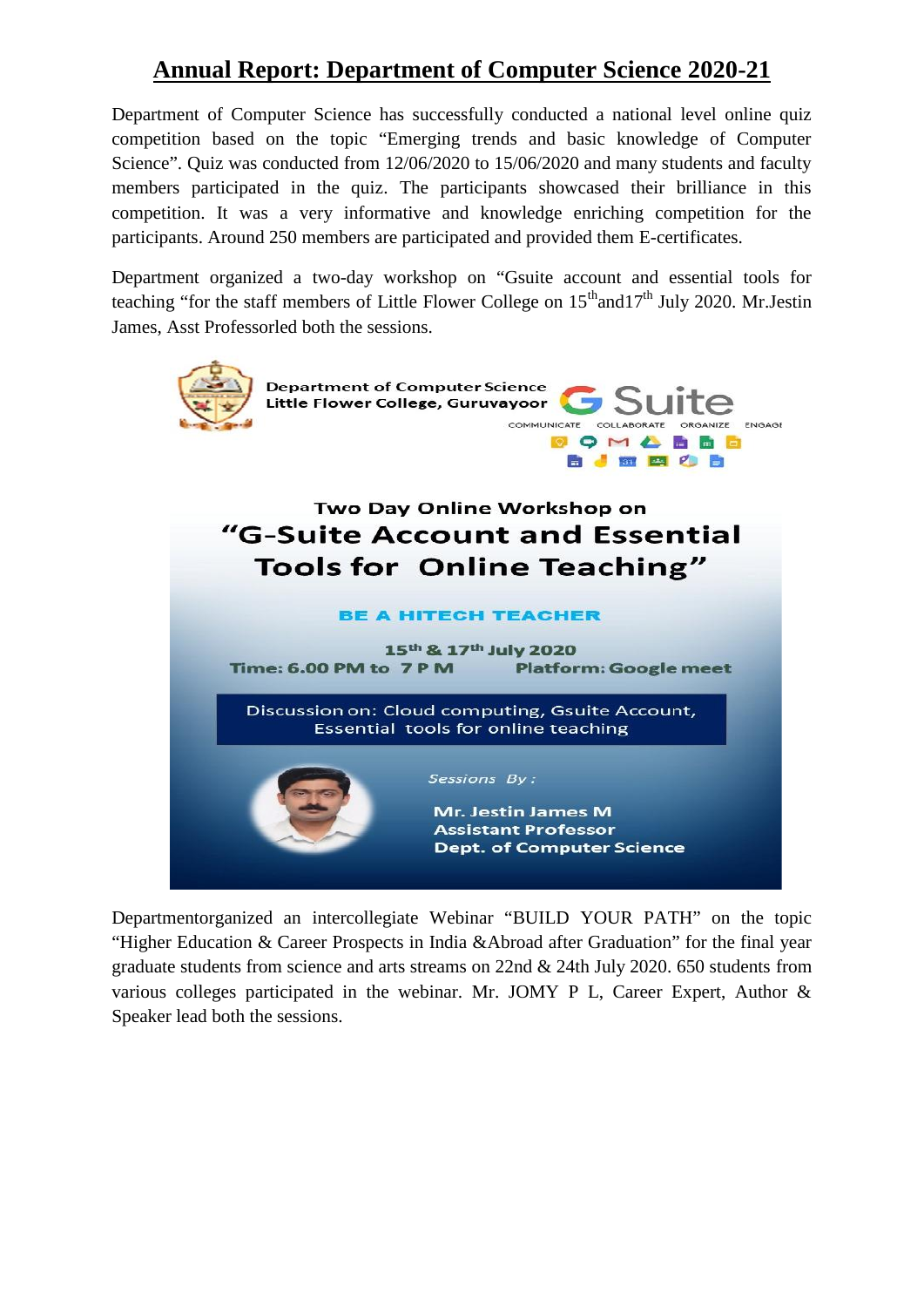## **Annual Report: Department of Computer Science 2020-21**

Department of Computer Science has successfully conducted a national level online quiz competition based on the topic "Emerging trends and basic knowledge of Computer Science". Quiz was conducted from 12/06/2020 to 15/06/2020 and many students and faculty members participated in the quiz. The participants showcased their brilliance in this competition. It was a very informative and knowledge enriching competition for the participants. Around 250 members are participated and provided them E-certificates.

Department organized a two-day workshop on "Gsuite account and essential tools for teaching "for the staff members of Little Flower College on  $15<sup>th</sup>$  and  $17<sup>th</sup>$  July 2020. Mr. Jestin James, Asst Professorled both the sessions.



Departmentorganized an intercollegiate Webinar "BUILD YOUR PATH" on the topic "Higher Education & Career Prospects in India &Abroad after Graduation" for the final year graduate students from science and arts streams on 22nd & 24th July 2020. 650 students from various colleges participated in the webinar. Mr. JOMY P L, Career Expert, Author & Speaker lead both the sessions.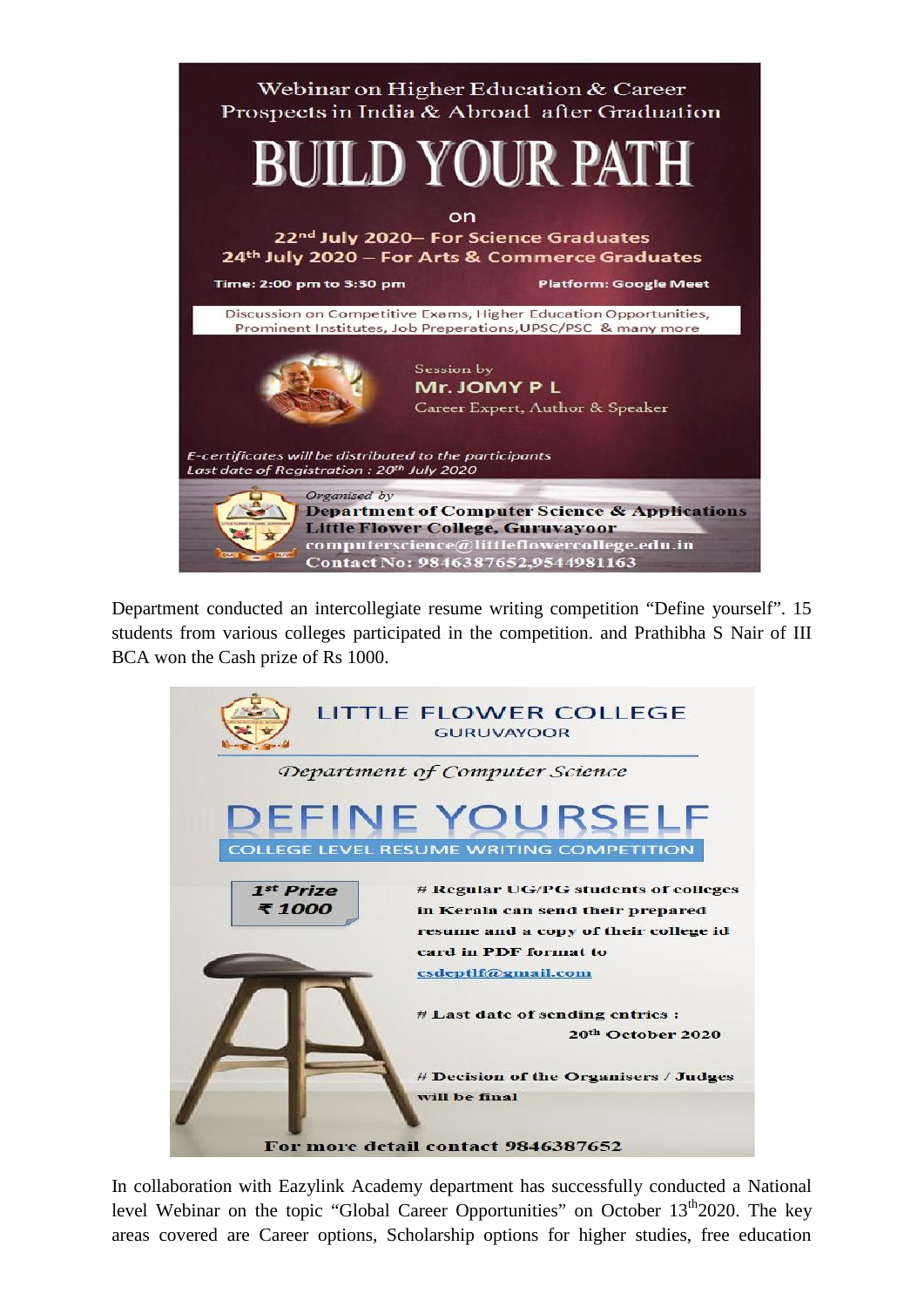

Department conducted an intercollegiate resume writing competition "Define yourself". 15 students from various colleges participated in the competition. and Prathibha S Nair of III BCA won the Cash prize of Rs 1000.

|                                    | <b>LITTLE FLOWER COLLEGE</b><br><b>GURUVAYOOR</b>                                                                                                                 |  |  |  |
|------------------------------------|-------------------------------------------------------------------------------------------------------------------------------------------------------------------|--|--|--|
| Department of Computer Science     |                                                                                                                                                                   |  |  |  |
|                                    | <b>DEFINE YOURSELF</b><br><b>COLLEGE LEVEL RESUME WRITING COMPETITION</b>                                                                                         |  |  |  |
| 1 <sup>st</sup> Prize<br>₹1000     | # Regular UG/PG students of colleges<br>in Kerala can send their prepared<br>resume and a copy of their college id<br>card in PDF format to<br>csdeptlf@gmail.com |  |  |  |
|                                    | # Last date of sending entries :<br>20 <sup>th</sup> October 2020                                                                                                 |  |  |  |
|                                    | # Decision of the Organisers / Judges<br>will be final                                                                                                            |  |  |  |
| For more detail contact 9846387652 |                                                                                                                                                                   |  |  |  |

In collaboration with Eazylink Academy department has successfully conducted a National level Webinar on the topic "Global Career Opportunities" on October  $13<sup>th</sup>2020$ . The key areas covered are Career options, Scholarship options for higher studies, free education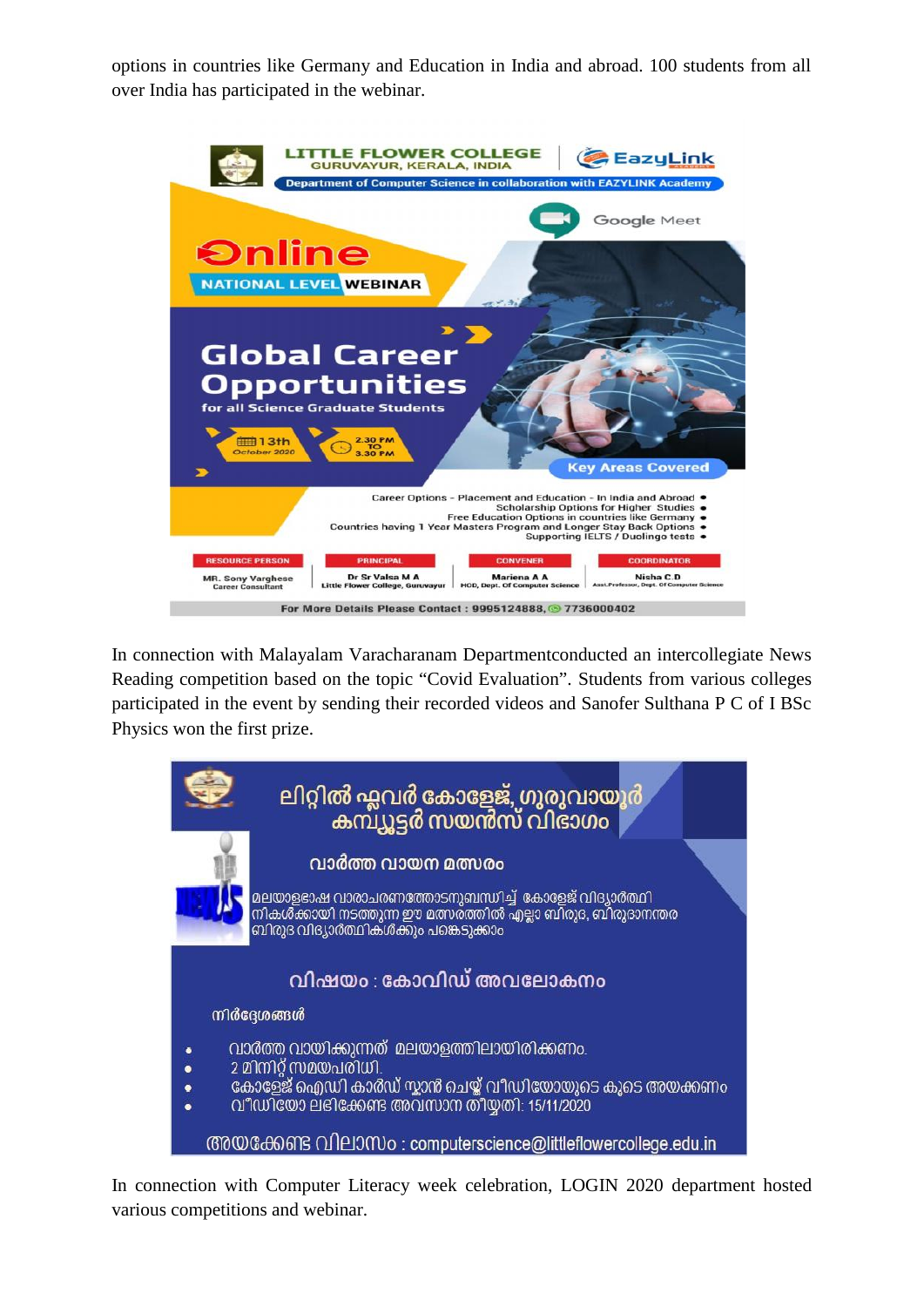options in countries like Germany and Education in India and abroad. 100 students from all over India has participated in the webinar.



In connection with Malayalam Varacharanam Departmentconducted an intercollegiate News Reading competition based on the topic "Covid Evaluation". Students from various colleges participated in the event by sending their recorded videos and Sanofer Sulthana P C of I BSc Physics won the first prize.



In connection with Computer Literacy week celebration, LOGIN 2020 department hosted various competitions and webinar.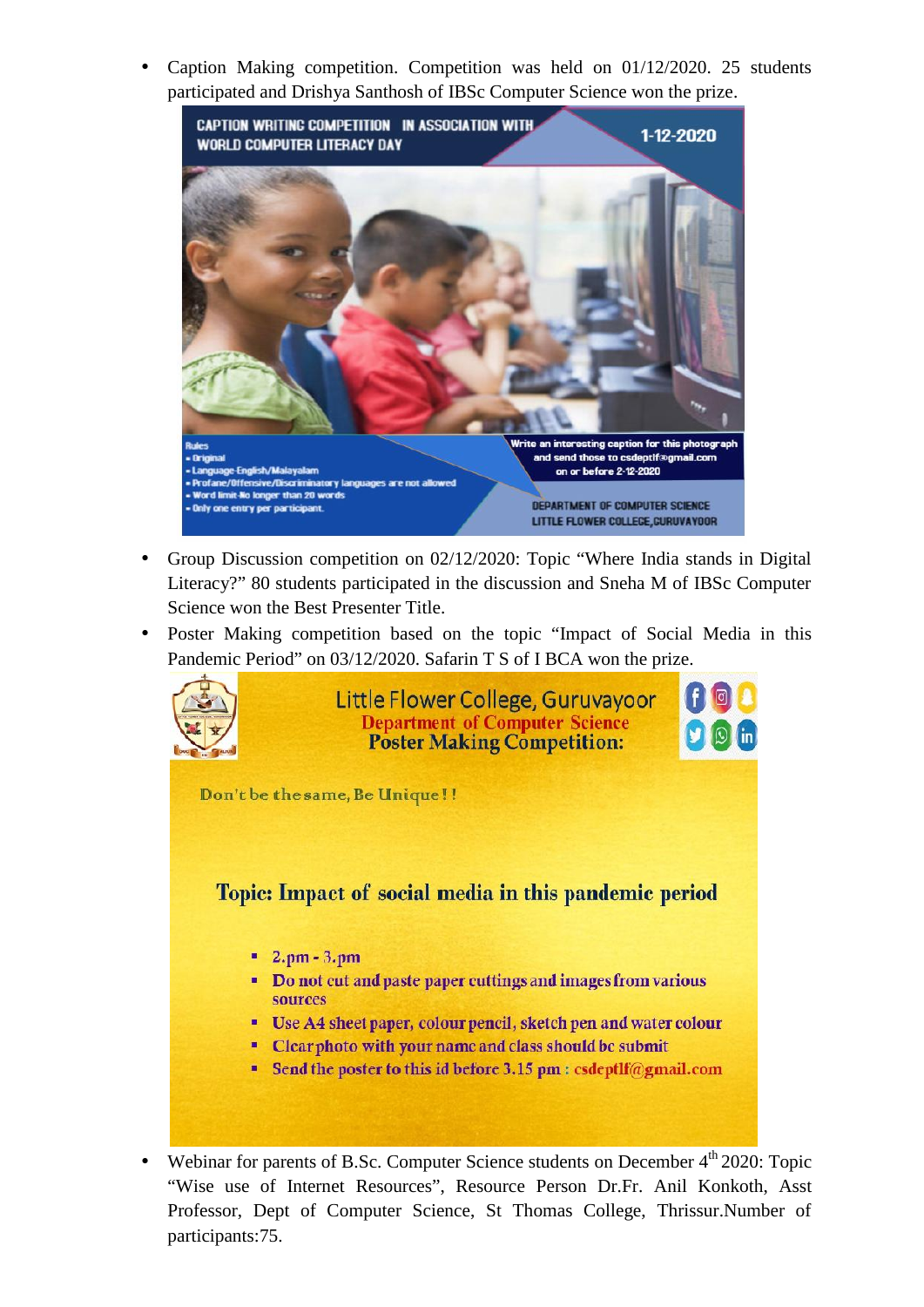Caption Making competition. Competition was held on 01/12/2020. 25 students participated and Drishya Santhosh of IBSc Computer Science won the prize.



- Group Discussion competition on 02/12/2020: Topic "Where India stands in Digital Literacy?" 80 students participated in the discussion and Sneha M of IBSc Computer Science won the Best Presenter Title.
- Poster Making competition based on the topic "Impact of Social Media in this Pandemic Period" on 03/12/2020. Safarin T S of I BCA won the prize.



Webinar for parents of B.Sc. Computer Science students on December  $4<sup>th</sup> 2020$ : Topic "Wise use of Internet Resources", Resource Person Dr.Fr. Anil Konkoth, Asst Professor, Dept of Computer Science, St Thomas College, Thrissur.Number of participants:75.